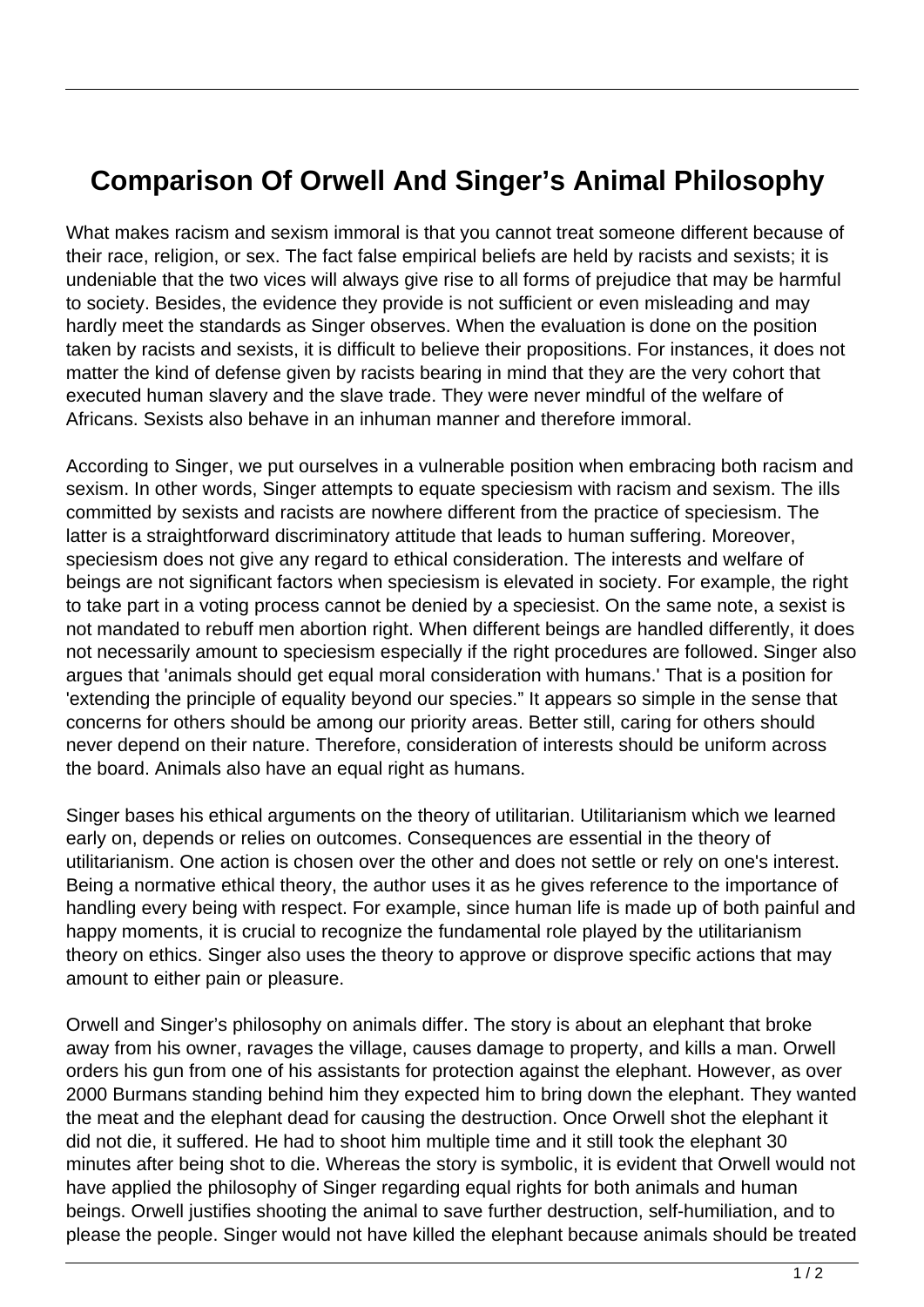## **Comparison Of Orwell And Singer's Animal Philosophy**

What makes racism and sexism immoral is that you cannot treat someone different because of their race, religion, or sex. The fact false empirical beliefs are held by racists and sexists; it is undeniable that the two vices will always give rise to all forms of prejudice that may be harmful to society. Besides, the evidence they provide is not sufficient or even misleading and may hardly meet the standards as Singer observes. When the evaluation is done on the position taken by racists and sexists, it is difficult to believe their propositions. For instances, it does not matter the kind of defense given by racists bearing in mind that they are the very cohort that executed human slavery and the slave trade. They were never mindful of the welfare of Africans. Sexists also behave in an inhuman manner and therefore immoral.

According to Singer, we put ourselves in a vulnerable position when embracing both racism and sexism. In other words, Singer attempts to equate speciesism with racism and sexism. The ills committed by sexists and racists are nowhere different from the practice of speciesism. The latter is a straightforward discriminatory attitude that leads to human suffering. Moreover, speciesism does not give any regard to ethical consideration. The interests and welfare of beings are not significant factors when speciesism is elevated in society. For example, the right to take part in a voting process cannot be denied by a speciesist. On the same note, a sexist is not mandated to rebuff men abortion right. When different beings are handled differently, it does not necessarily amount to speciesism especially if the right procedures are followed. Singer also argues that 'animals should get equal moral consideration with humans.' That is a position for 'extending the principle of equality beyond our species." It appears so simple in the sense that concerns for others should be among our priority areas. Better still, caring for others should never depend on their nature. Therefore, consideration of interests should be uniform across the board. Animals also have an equal right as humans.

Singer bases his ethical arguments on the theory of utilitarian. Utilitarianism which we learned early on, depends or relies on outcomes. Consequences are essential in the theory of utilitarianism. One action is chosen over the other and does not settle or rely on one's interest. Being a normative ethical theory, the author uses it as he gives reference to the importance of handling every being with respect. For example, since human life is made up of both painful and happy moments, it is crucial to recognize the fundamental role played by the utilitarianism theory on ethics. Singer also uses the theory to approve or disprove specific actions that may amount to either pain or pleasure.

Orwell and Singer's philosophy on animals differ. The story is about an elephant that broke away from his owner, ravages the village, causes damage to property, and kills a man. Orwell orders his gun from one of his assistants for protection against the elephant. However, as over 2000 Burmans standing behind him they expected him to bring down the elephant. They wanted the meat and the elephant dead for causing the destruction. Once Orwell shot the elephant it did not die, it suffered. He had to shoot him multiple time and it still took the elephant 30 minutes after being shot to die. Whereas the story is symbolic, it is evident that Orwell would not have applied the philosophy of Singer regarding equal rights for both animals and human beings. Orwell justifies shooting the animal to save further destruction, self-humiliation, and to please the people. Singer would not have killed the elephant because animals should be treated